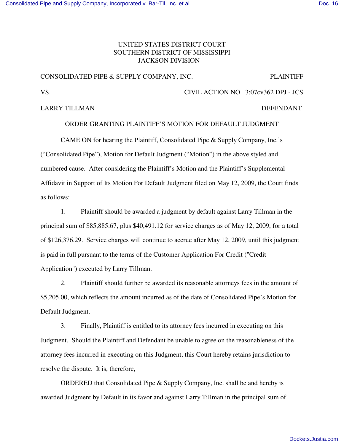# UNITED STATES DISTRICT COURT SOUTHERN DISTRICT OF MISSISSIPPI JACKSON DIVISION

### CONSOLIDATED PIPE & SUPPLY COMPANY, INC. PLAINTIFF

VS. CIVIL ACTION NO. 3:07cv362 DPJ - JCS

## LARRY TILLMAN DEFENDANT

## ORDER GRANTING PLAINTIFF'S MOTION FOR DEFAULT JUDGMENT

CAME ON for hearing the Plaintiff, Consolidated Pipe & Supply Company, Inc.'s ("Consolidated Pipe"), Motion for Default Judgment ("Motion") in the above styled and numbered cause. After considering the Plaintiff's Motion and the Plaintiff's Supplemental Affidavit in Support of Its Motion For Default Judgment filed on May 12, 2009, the Court finds as follows:

1. Plaintiff should be awarded a judgment by default against Larry Tillman in the principal sum of \$85,885.67, plus \$40,491.12 for service charges as of May 12, 2009, for a total of \$126,376.29. Service charges will continue to accrue after May 12, 2009, until this judgment is paid in full pursuant to the terms of the Customer Application For Credit ("Credit Application") executed by Larry Tillman.

2. Plaintiff should further be awarded its reasonable attorneys fees in the amount of \$5,205.00, which reflects the amount incurred as of the date of Consolidated Pipe's Motion for Default Judgment.

3. Finally, Plaintiff is entitled to its attorney fees incurred in executing on this Judgment. Should the Plaintiff and Defendant be unable to agree on the reasonableness of the attorney fees incurred in executing on this Judgment, this Court hereby retains jurisdiction to resolve the dispute. It is, therefore,

ORDERED that Consolidated Pipe & Supply Company, Inc. shall be and hereby is awarded Judgment by Default in its favor and against Larry Tillman in the principal sum of